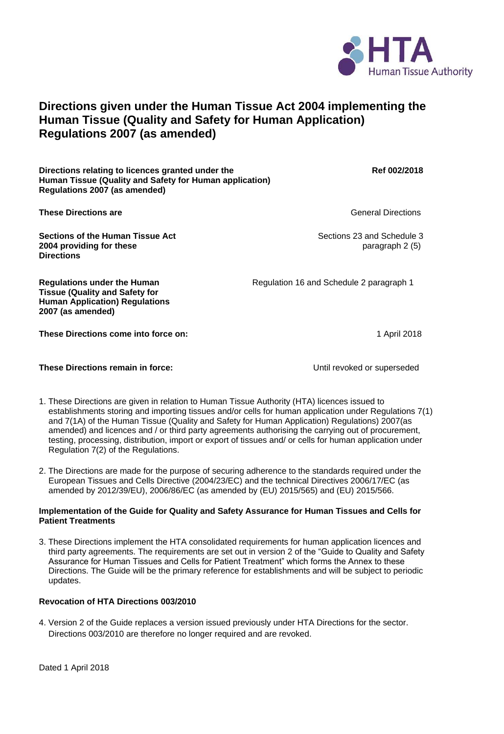

## **Directions given under the Human Tissue Act 2004 implementing the Human Tissue (Quality and Safety for Human Application) Regulations 2007 (as amended)**

**Directions relating to licences granted under the Ref 002/2018** Ref 002/2018 **Human Tissue (Quality and Safety for Human application) Regulations 2007 (as amended)**

**These Directions are** General Directions **are** General Directions **Constanting Constanting Constanting Constanting Constanting Constanting Constanting Constanting Constanting Constanting Constanting Constanting Constantin** 

**Sections of the Human Tissue Act <b>Sections 23** and Schedule 3 **2004 providing for these paragraph 2 (5) paragraph 2 (5) Directions**

**Regulations under the Human Regulation 16 and Schedule 2 paragraph 1** 

**Tissue (Quality and Safety for Human Application) Regulations 2007 (as amended)**

These Directions come into force on: **1 April 2018** 1 April 2018

## **These Directions remain in force:** These Until revoked or superseded

- 1. These Directions are given in relation to Human Tissue Authority (HTA) licences issued to establishments storing and importing tissues and/or cells for human application under Regulations 7(1) and 7(1A) of the Human Tissue (Quality and Safety for Human Application) Regulations) 2007(as amended) and licences and / or third party agreements authorising the carrying out of procurement, testing, processing, distribution, import or export of tissues and/ or cells for human application under Regulation 7(2) of the Regulations.
- 2. The Directions are made for the purpose of securing adherence to the standards required under the European Tissues and Cells Directive (2004/23/EC) and the technical Directives 2006/17/EC (as amended by 2012/39/EU), 2006/86/EC (as amended by (EU) 2015/565) and (EU) 2015/566.

## **Implementation of the Guide for Quality and Safety Assurance for Human Tissues and Cells for Patient Treatments**

3. These Directions implement the HTA consolidated requirements for human application licences and third party agreements. The requirements are set out in version 2 of the "Guide to Quality and Safety Assurance for Human Tissues and Cells for Patient Treatment" which forms the Annex to these Directions. The Guide will be the primary reference for establishments and will be subject to periodic updates.

## **Revocation of HTA Directions 003/2010**

4. Version 2 of the Guide replaces a version issued previously under HTA Directions for the sector. Directions 003/2010 are therefore no longer required and are revoked.

Dated 1 April 2018